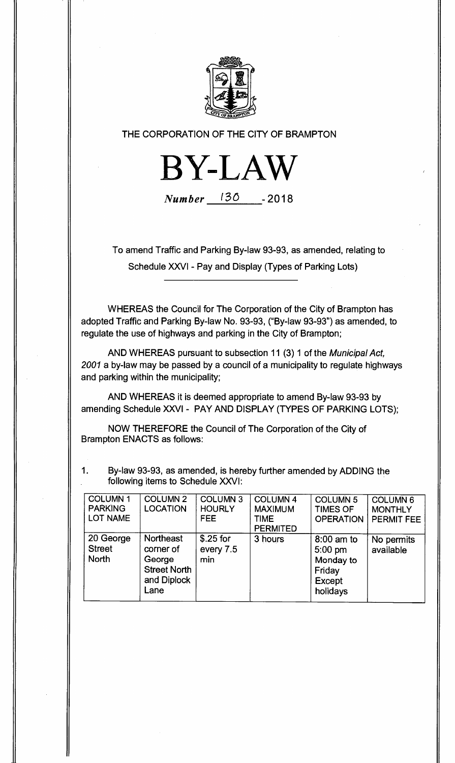

**THE CORPORATION OF THE CITY OF BRAMPTON** 



**Number <sup>1</sup> 30 -2018** 

**To amend Traffic and Parking By-law 93-93, as amended, relating to Schedule XXVI - Pay and Display (Types of Parking Lots)** 

**WHEREAS the Council for The Corporation of the City of Brampton has adopted Traffic and Parking By-law No. 93-93, ("By-law 93-93") as amended, to regulate the use of highways and parking in the City of Brampton;** 

**AND WHEREAS pursuant to subsection 11 (3) 1 of the Municipal Act, 2001 a by-law may be passed by a council of a municipality to regulate highways and parking within the municipality;** 

**AND WHEREAS it is deemed appropriate to amend By-law 93-93 by amending Schedule XXVI - PAY AND DISPLAY (TYPES OF PARKING LOTS);** 

**NOW THEREFORE the Council of The Corporation of the City of Brampton ENACTS as follows:** 

**1. By-law 93-93, as amended, is hereby further amended by ADDING the following items to Schedule XXVI:** 

| <b>COLUMN1</b><br><b>PARKING</b><br>LOT NAME | <b>COLUMN 2</b><br><b>LOCATION</b>                                                    | <b>COLUMN 3</b><br><b>HOURLY</b><br>FEE. | <b>COLUMN 4</b><br><b>MAXIMUM</b><br><b>TIME</b><br><b>PERMITED</b> | <b>COLUMN 5</b><br><b>TIMES OF</b><br><b>OPERATION</b>               | <b>COLUMN 6</b><br><b>MONTHLY</b><br><b>PERMIT FEE</b> |
|----------------------------------------------|---------------------------------------------------------------------------------------|------------------------------------------|---------------------------------------------------------------------|----------------------------------------------------------------------|--------------------------------------------------------|
| 20 George<br><b>Street</b><br><b>North</b>   | <b>Northeast</b><br>corner of<br>George<br><b>Street North</b><br>and Diplock<br>Lane | $$.25$ for<br>every 7.5<br>min           | 3 hours                                                             | 8:00 am to<br>$5:00$ pm<br>Monday to<br>Friday<br>Except<br>holidays | No permits<br>available                                |